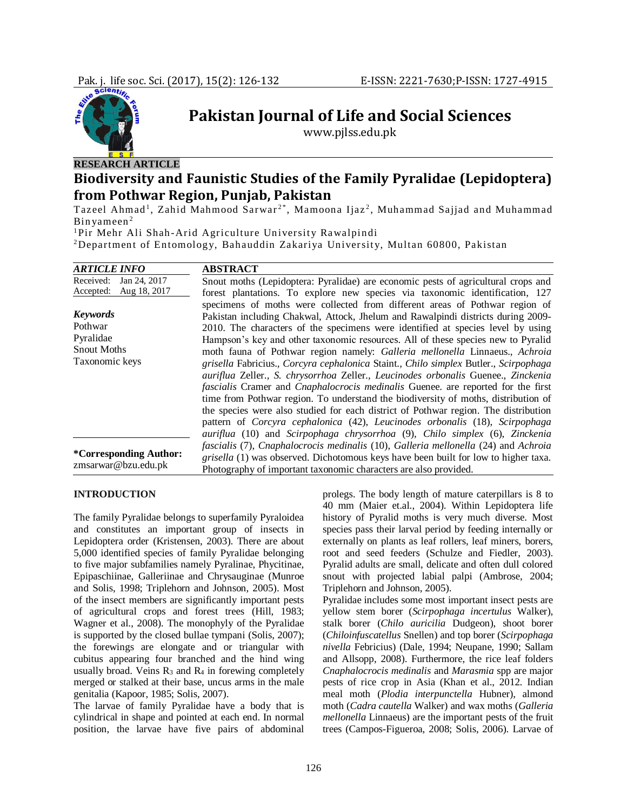

**Pakistan Journal of Life and Social Sciences**

www.pjlss.edu.pk

# **Biodiversity and Faunistic Studies of the Family Pyralidae (Lepidoptera) from Pothwar Region, Punjab, Pakistan**

Tazeel Ahmad<sup>1</sup>, Zahid Mahmood Sarwar<sup>2\*</sup>, Mamoona Ijaz<sup>2</sup>, Muhammad Sajjad and Muhammad Bin yameen <sup>2</sup>

<sup>1</sup>Pir Mehr Ali Shah-Arid Agriculture University Rawalpindi

<sup>2</sup>Department of Entomology, Bahauddin Zakariya University, Multan 60800, Pakistan

| <b>ARTICLE INFO</b>                                  | <b>ABSTRACT</b>                                                                                |  |  |  |
|------------------------------------------------------|------------------------------------------------------------------------------------------------|--|--|--|
| Received:<br>Jan 24, 2017                            | Snout moths (Lepidoptera: Pyralidae) are economic pests of agricultural crops and              |  |  |  |
| Aug 18, 2017<br>Accepted:                            | forest plantations. To explore new species via taxonomic identification, 127                   |  |  |  |
|                                                      | specimens of moths were collected from different areas of Pothwar region of                    |  |  |  |
| <b>Keywords</b>                                      | Pakistan including Chakwal, Attock, Jhelum and Rawalpindi districts during 2009-               |  |  |  |
| Pothwar                                              | 2010. The characters of the specimens were identified at species level by using                |  |  |  |
| Pyralidae                                            | Hampson's key and other taxonomic resources. All of these species new to Pyralid               |  |  |  |
| <b>Snout Moths</b>                                   | moth fauna of Pothwar region namely: Galleria mellonella Linnaeus., Achroia                    |  |  |  |
| Taxonomic keys                                       | grisella Fabricius., Corcyra cephalonica Staint., Chilo simplex Butler., Scirpophaga           |  |  |  |
|                                                      | auriflua Zeller., S. chrysorrhoa Zeller., Leucinodes orbonalis Guenee., Zinckenia              |  |  |  |
|                                                      | <i>fascialis</i> Cramer and <i>Cnaphalocrocis medinalis</i> Guenee. are reported for the first |  |  |  |
|                                                      | time from Pothwar region. To understand the biodiversity of moths, distribution of             |  |  |  |
|                                                      | the species were also studied for each district of Pothwar region. The distribution            |  |  |  |
|                                                      | pattern of Corcyra cephalonica (42), Leucinodes orbonalis (18), Scirpophaga                    |  |  |  |
|                                                      | auriflua (10) and Scirpophaga chrysorrhoa (9), Chilo simplex (6), Zinckenia                    |  |  |  |
| <i>*Corresponding Author:</i><br>zmsarwar@bzu.edu.pk | fascialis (7), Cnaphalocrocis medinalis (10), Galleria mellonella (24) and Achroia             |  |  |  |
|                                                      | grisella (1) was observed. Dichotomous keys have been built for low to higher taxa.            |  |  |  |
|                                                      | Photography of important taxonomic characters are also provided.                               |  |  |  |

# **INTRODUCTION**

The family Pyralidae belongs to superfamily Pyraloidea and constitutes an important group of insects in Lepidoptera order (Kristensen, 2003). There are about 5,000 identified species of family Pyralidae belonging to five major subfamilies namely Pyralinae, Phycitinae, Epipaschiinae, Galleriinae and Chrysauginae (Munroe and Solis, 1998; Triplehorn and Johnson, 2005). Most of the insect members are significantly important pests of agricultural crops and forest trees (Hill, 1983; Wagner et al., 2008). The monophyly of the Pyralidae is supported by the closed bullae tympani (Solis, 2007); the forewings are elongate and or triangular with cubitus appearing four branched and the hind wing usually broad. Veins  $R_3$  and  $R_4$  in forewing completely merged or stalked at their base, uncus arms in the male genitalia (Kapoor, 1985; Solis, 2007).

The larvae of family Pyralidae have a body that is cylindrical in shape and pointed at each end. In normal position, the larvae have five pairs of abdominal

prolegs. The body length of mature caterpillars is 8 to 40 mm (Maier et.al., 2004). Within Lepidoptera life history of Pyralid moths is very much diverse. Most species pass their larval period by feeding internally or externally on plants as leaf rollers, leaf miners, borers, root and seed feeders (Schulze and Fiedler, 2003). Pyralid adults are small, delicate and often dull colored snout with projected labial palpi (Ambrose, 2004; Triplehorn and Johnson, 2005).

Pyralidae includes some most important insect pests are yellow stem borer (*Scirpophaga incertulus* Walker), stalk borer (*Chilo auricilia* Dudgeon), shoot borer (*Chiloinfuscatellus* Snellen) and top borer (*Scirpophaga nivella* Febricius) (Dale, 1994; Neupane, 1990; Sallam and Allsopp, 2008). Furthermore, the rice leaf folders *Cnaphalocrocis medinalis* and *Marasmia* spp are major pests of rice crop in Asia (Khan et al., 2012. Indian meal moth (*Plodia interpunctella* Hubner), almond moth (*Cadra cautella* Walker) and wax moths (*Galleria mellonella* Linnaeus) are the important pests of the fruit trees (Campos-Figueroa, 2008; Solis, 2006). Larvae of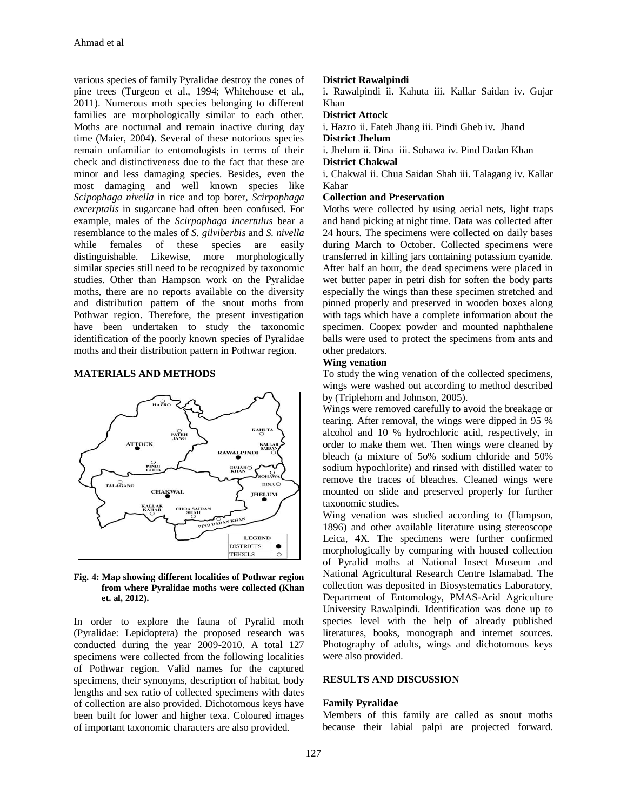various species of family Pyralidae destroy the cones of pine trees (Turgeon et al., 1994; Whitehouse et al., 2011). Numerous moth species belonging to different families are morphologically similar to each other. Moths are nocturnal and remain inactive during day time (Maier, 2004). Several of these notorious species remain unfamiliar to entomologists in terms of their check and distinctiveness due to the fact that these are minor and less damaging species. Besides, even the most damaging and well known species like *Scipophaga nivella* in rice and top borer, *Scirpophaga excerptalis* in sugarcane had often been confused. For example, males of the *Scirpophaga incertulus* bear a resemblance to the males of *S. gilviberbis* and *S. nivella* while females of these species are easily distinguishable. Likewise, more morphologically similar species still need to be recognized by taxonomic studies. Other than Hampson work on the Pyralidae moths, there are no reports available on the diversity and distribution pattern of the snout moths from Pothwar region. Therefore, the present investigation have been undertaken to study the taxonomic identification of the poorly known species of Pyralidae moths and their distribution pattern in Pothwar region.

# **MATERIALS AND METHODS**



### **Fig. 4: Map showing different localities of Pothwar region from where Pyralidae moths were collected (Khan et. al, 2012).**

In order to explore the fauna of Pyralid moth (Pyralidae: Lepidoptera) the proposed research was conducted during the year 2009-2010. A total 127 specimens were collected from the following localities of Pothwar region. Valid names for the captured specimens, their synonyms, description of habitat, body lengths and sex ratio of collected specimens with dates of collection are also provided. Dichotomous keys have been built for lower and higher texa. Coloured images of important taxonomic characters are also provided.

### **District Rawalpindi**

i. Rawalpindi ii. Kahuta iii. Kallar Saidan iv. Gujar Khan

### **District Attock**

i. Hazro ii. Fateh Jhang iii. Pindi Gheb iv. Jhand **District Jhelum**

i. Jhelum ii. Dina iii. Sohawa iv. Pind Dadan Khan **District Chakwal**

i. Chakwal ii. Chua Saidan Shah iii. Talagang iv. Kallar Kahar

# **Collection and Preservation**

Moths were collected by using aerial nets, light traps and hand picking at night time. Data was collected after 24 hours. The specimens were collected on daily bases during March to October. Collected specimens were transferred in killing jars containing potassium cyanide. After half an hour, the dead specimens were placed in wet butter paper in petri dish for soften the body parts especially the wings than these specimen stretched and pinned properly and preserved in wooden boxes along with tags which have a complete information about the specimen. Coopex powder and mounted naphthalene balls were used to protect the specimens from ants and other predators.

# **Wing venation**

To study the wing venation of the collected specimens, wings were washed out according to method described by (Triplehorn and Johnson, 2005).

Wings were removed carefully to avoid the breakage or tearing. After removal, the wings were dipped in 95 % alcohol and 10 % hydrochloric acid, respectively, in order to make them wet. Then wings were cleaned by bleach (a mixture of 5o% sodium chloride and 50% sodium hypochlorite) and rinsed with distilled water to remove the traces of bleaches. Cleaned wings were mounted on slide and preserved properly for further taxonomic studies.

Wing venation was studied according to (Hampson, 1896) and other available literature using stereoscope Leica, 4X. The specimens were further confirmed morphologically by comparing with housed collection of Pyralid moths at National Insect Museum and National Agricultural Research Centre Islamabad. The collection was deposited in Biosystematics Laboratory, Department of Entomology, PMAS-Arid Agriculture University Rawalpindi. Identification was done up to species level with the help of already published literatures, books, monograph and internet sources. Photography of adults, wings and dichotomous keys were also provided.

### **RESULTS AND DISCUSSION**

## **Family Pyralidae**

Members of this family are called as snout moths because their labial palpi are projected forward.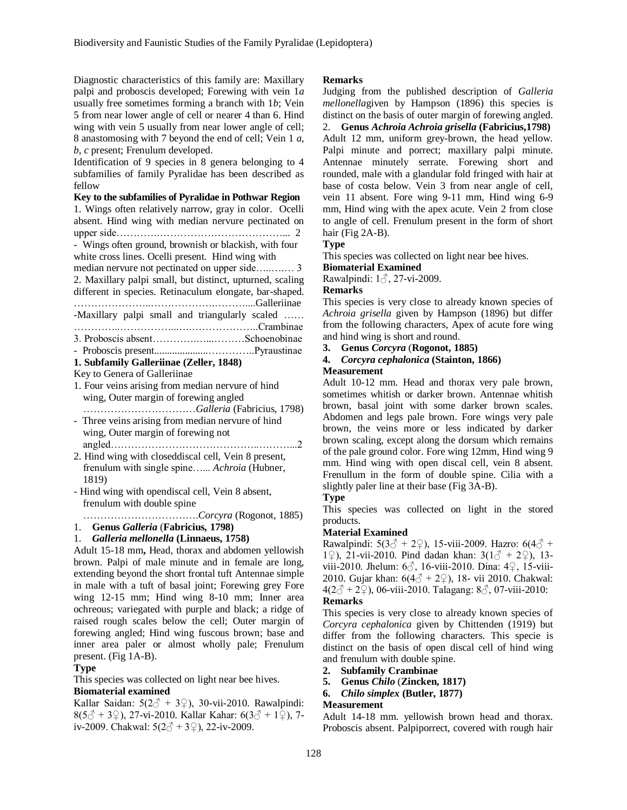Diagnostic characteristics of this family are: Maxillary palpi and proboscis developed; Forewing with vein 1*a* usually free sometimes forming a branch with 1*b*; Vein 5 from near lower angle of cell or nearer 4 than 6. Hind wing with vein 5 usually from near lower angle of cell: 8 anastomosing with 7 beyond the end of cell; Vein 1 *a*, *b*, *c* present; Frenulum developed.

Identification of 9 species in 8 genera belonging to 4 subfamilies of family Pyralidae has been described as fellow

# **Key to the subfamilies of Pyralidae in Pothwar Region**

1. Wings often relatively narrow, gray in color. Ocelli absent. Hind wing with median nervure pectinated on upper side………….………………………………... 2 - Wings often ground, brownish or blackish, with four white cross lines. Ocelli present. Hind wing with median nervure not pectinated on upper side…..….… 3 2. Maxillary palpi small, but distinct, upturned, scaling different in species. Retinaculum elongate, bar-shaped. …………………..……………….………....Galleriinae -Maxillary palpi small and triangularly scaled …… …………..……………...….………………..Crambinae 3. Proboscis absent………….…...………Schoenobinae - Proboscis present.....................…………..Pyraustinae **1. Subfamily Galleriinae (Zeller, 1848)** Key to Genera of Galleriinae 1. Four veins arising from median nervure of hind

- wing, Outer margin of forewing angled ……………………………*Galleria* (Fabricius, 1798)
- Three veins arising from median nervure of hind wing, Outer margin of forewing not angled……………………………………..………...2
- 2. Hind wing with closeddiscal cell, Vein 8 present, frenulum with single spine…... *Achroia* (Hubner, 1819)
- Hind wing with opendiscal cell, Vein 8 absent, frenulum with double spine

…………………………….*Corcyra* (Rogonot, 1885)

1. **Genus** *Galleria* (**Fabricius***,* **1798)**

# 1. *Galleria mellonella* **(Linnaeus, 1758)**

Adult 15-18 mm**,** Head, thorax and abdomen yellowish brown. Palpi of male minute and in female are long, extending beyond the short frontal tuft Antennae simple in male with a tuft of basal joint; Forewing grey Fore wing 12-15 mm; Hind wing 8-10 mm; Inner area ochreous; variegated with purple and black; a ridge of raised rough scales below the cell; Outer margin of forewing angled; Hind wing fuscous brown; base and inner area paler or almost wholly pale; Frenulum present. (Fig 1A-B).

### **Type**

This species was collected on light near bee hives.

## **Biomaterial examined**

Kallar Saidan:  $5(2\text{ } \text{\textcircled{2}} + 3\text{ } \text{\textcircled{2}})$ , 30-vii-2010. Rawalpindi:  $8(5\text{ }^{\wedge}$  + 3\\var \cdot 27-vi-2010. Kallar Kahar: 6(3\\cdot + 1\cdot 2), 7iv-2009. Chakwal:  $5(2\hat{0} + 3\hat{2})$ , 22-iv-2009.

### **Remarks**

Judging from the published description of *Galleria mellonella*given by Hampson (1896) this species is distinct on the basis of outer margin of forewing angled. 2. **Genus** *Achroia Achroia grisella* **(Fabricius,1798)** Adult 12 mm, uniform grey-brown, the head yellow. Palpi minute and porrect; maxillary palpi minute. Antennae minutely serrate. Forewing short and rounded, male with a glandular fold fringed with hair at base of costa below. Vein 3 from near angle of cell, vein 11 absent. Fore wing 9-11 mm, Hind wing 6-9 mm, Hind wing with the apex acute. Vein 2 from close to angle of cell. Frenulum present in the form of short hair (Fig 2A-B).

# **Type**

This species was collected on light near bee hives.

## **Biomaterial Examined**

Rawalpindi: 1♂, 27-vi-2009.

## **Remarks**

This species is very close to already known species of *Achroia grisella* given by Hampson (1896) but differ from the following characters, Apex of acute fore wing and hind wing is short and round.

**3. Genus** *Corcyra* (**Rogonot, 1885)**

## **4.** *Corcyra cephalonica* **(Stainton, 1866) Measurement**

Adult 10-12 mm. Head and thorax very pale brown, sometimes whitish or darker brown. Antennae whitish brown, basal joint with some darker brown scales. Abdomen and legs pale brown. Fore wings very pale brown, the veins more or less indicated by darker brown scaling, except along the dorsum which remains of the pale ground color. Fore wing 12mm, Hind wing 9 mm. Hind wing with open discal cell, vein 8 absent. Frenullum in the form of double spine. Cilia with a slightly paler line at their base (Fig 3A-B).

# **Type**

This species was collected on light in the stored products.

### **Material Examined**

Rawalpindi:  $5(3\text{ } \textcircled{2} + 2\text{ } \textcircled{2})$ , 15-viii-2009. Hazro:  $6(4\text{ } \textcircled{2} +$ 1°, 21-vii-2010. Pind dadan khan:  $3(1^3 + 2^9)$ , 13viii-2010. Jhelum: 6♂, 16-viii-2010. Dina: 4♀, 15-viii-2010. Gujar khan: 6(4♂ + 2♀), 18- vii 2010. Chakwal:  $4(2\sqrt[3]{} + 2\sqrt{2})$ , 06-viii-2010. Talagang: 8 $\sqrt[3]{2}$ , 07-viii-2010: **Remarks**

This species is very close to already known species of *Corcyra cephalonica* given by Chittenden (1919) but differ from the following characters. This specie is distinct on the basis of open discal cell of hind wing and frenulum with double spine.

- **2. Subfamily Crambinae**
- **5. Genus** *Chilo* (**Zincken, 1817)**
- **6.** *Chilo simplex* **(Butler, 1877)**

### **Measurement**

Adult 14-18 mm. yellowish brown head and thorax. Proboscis absent. Palpiporrect, covered with rough hair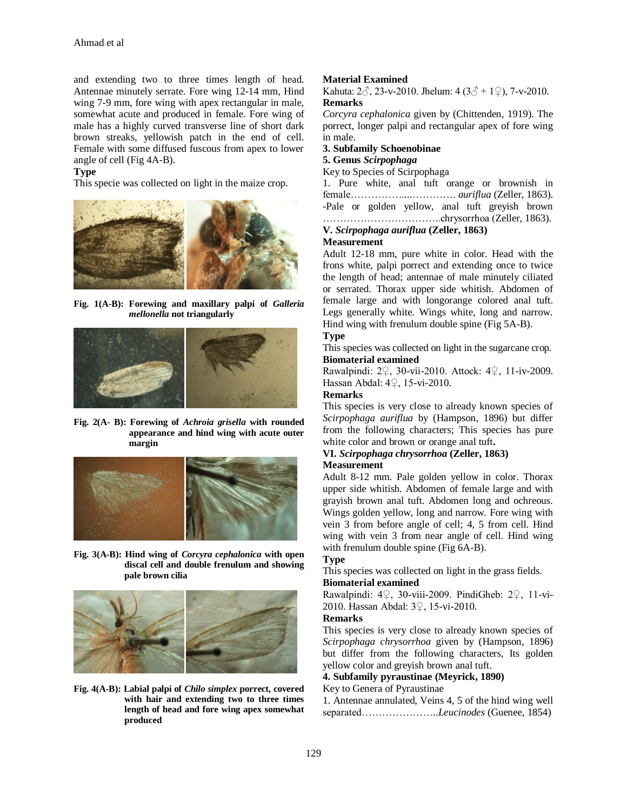and extending two to three times length of head. Antennae minutely serrate. Fore wing 12-14 mm, Hind wing 7-9 mm, fore wing with apex rectangular in male, somewhat acute and produced in female. Fore wing of male has a highly curved transverse line of short dark brown streaks, yellowish patch in the end of cell. Female with some diffused fuscous from apex to lower angle of cell (Fig 4A-B).

## **Type**

This specie was collected on light in the maize crop.



**Fig. 1(A-B): Forewing and maxillary palpi of** *Galleria mellonella* **not triangularly**



### **Fig. 2(A- B): Forewing of** *Achroia grisella* **with rounded appearance and hind wing with acute outer margin**



### **Fig. 3(A-B): Hind wing of** *Corcyra cephalonica* **with open discal cell and double frenulum and showing pale brown cilia**



## **Fig. 4(A-B): Labial palpi of** *Chilo simplex* **porrect, covered with hair and extending two to three times length of head and fore wing apex somewhat produced**

# **Material Examined**

Kahuta:  $2\hat{0}$ , 23-v-2010. Jhelum:  $4(3\hat{0} + 1\hat{2})$ , 7-v-2010. **Remarks**

*Corcyra cephalonica* given by (Chittenden, 1919). The porrect, longer palpi and rectangular apex of fore wing in male.

## **3. Subfamily Schoenobinae**

# **5. Genus** *Scirpophaga*

Key to Species of Scirpophaga

1. Pure white, anal tuft orange or brownish in female……………....…………. *auriflua* (Zeller, 1863). -Pale or golden yellow, anal tuft greyish brown ……………………………..chrysorrhoa (Zeller, 1863).

# **V.** *Scirpophaga auriflua* **(Zeller, 1863)**

# **Measurement**

Adult 12-18 mm, pure white in color. Head with the frons white, palpi porrect and extending once to twice the length of head; antennae of male minutely ciliated or serrated. Thorax upper side whitish. Abdomen of female large and with longorange colored anal tuft. Legs generally white. Wings white, long and narrow. Hind wing with frenulum double spine (Fig 5A-B).

# **Type**

This species was collected on light in the sugarcane crop. **Biomaterial examined**

Rawalpindi: 2♀, 30-vii-2010. Attock: 4♀, 11-iv-2009. Hassan Abdal: 4♀, 15-vi-2010.

# **Remarks**

This species is very close to already known species of *Scirpophaga auriflua* by (Hampson, 1896) but differ from the following characters; This species has pure white color and brown or orange anal tuft**.**

## **VI.** *Scirpophaga chrysorrhoa* **(Zeller, 1863) Measurement**

Adult 8-12 mm. Pale golden yellow in color. Thorax upper side whitish. Abdomen of female large and with grayish brown anal tuft. Abdomen long and ochreous. Wings golden yellow, long and narrow. Fore wing with vein 3 from before angle of cell; 4, 5 from cell. Hind wing with vein 3 from near angle of cell. Hind wing with frenulum double spine (Fig 6A-B).

### **Type**

This species was collected on light in the grass fields. **Biomaterial examined**

Rawalpindi: 4♀, 30-viii-2009. PindiGheb: 2♀, 11-vi-2010. Hassan Abdal: 3♀, 15-vi-2010.

# **Remarks**

This species is very close to already known species of *Scirpophaga chrysorrhoa* given by (Hampson, 1896) but differ from the following characters, Its golden yellow color and greyish brown anal tuft.

## **4. Subfamily pyraustinae (Meyrick, 1890)**

### Key to Genera of Pyraustinae

1. Antennae annulated, Veins 4, 5 of the hind wing well separated…………………..*Leucinodes* (Guenee, 1854)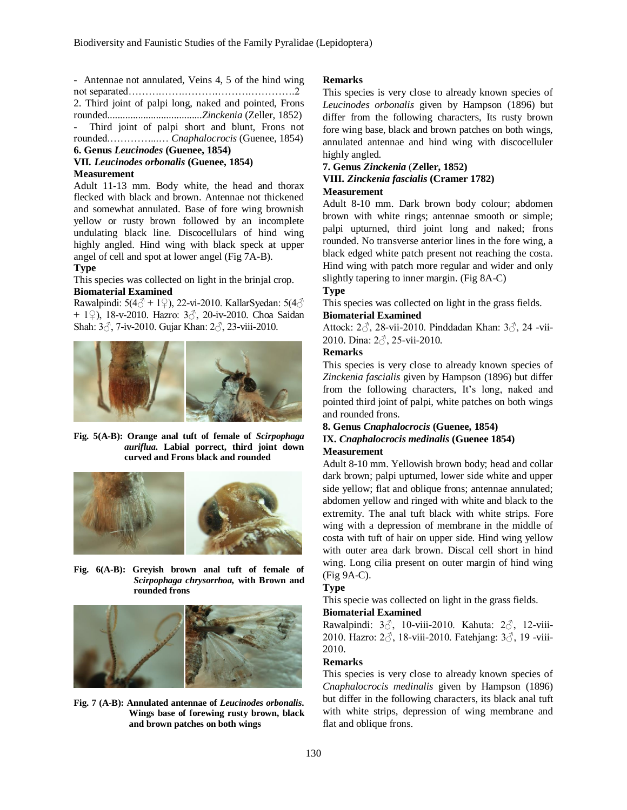- Antennae not annulated, Veins 4, 5 of the hind wing not separated……….…….……….……….………….2

2. Third joint of palpi long, naked and pointed, Frons rounded.....................................*Zinckenia* (Zeller, 1852)

Third joint of palpi short and blunt, Frons not rounded.…………...… *Cnaphalocrocis* (Guenee, 1854)

## **6. Genus** *Leucinodes* **(Guenee, 1854)**

## **VII***. Leucinodes orbonalis* **(Guenee, 1854) Measurement**

Adult 11-13 mm. Body white, the head and thorax flecked with black and brown. Antennae not thickened and somewhat annulated. Base of fore wing brownish yellow or rusty brown followed by an incomplete undulating black line. Discocellulars of hind wing highly angled. Hind wing with black speck at upper angel of cell and spot at lower angel (Fig 7A-B).

# **Type**

This species was collected on light in the brinjal crop. **Biomaterial Examined**

Rawalpindi: 5(4 $\circ$  + 1 $\circ$ ), 22-vi-2010. KallarSyedan: 5(4 $\circ$ + 1♀), 18-v-2010. Hazro: 3♂, 20-iv-2010. Choa Saidan Shah: 3♂, 7-iv-2010. Gujar Khan: 2♂, 23-viii-2010.



**Fig. 5(A-B): Orange anal tuft of female of** *Scirpophaga auriflua***. Labial porrect, third joint down curved and Frons black and rounded**



**Fig. 6(A-B): Greyish brown anal tuft of female of**  *Scirpophaga chrysorrhoa,* **with Brown and rounded frons**



**Fig. 7 (A-B): Annulated antennae of** *Leucinodes orbonalis***. Wings base of forewing rusty brown, black and brown patches on both wings**

## **Remarks**

This species is very close to already known species of *Leucinodes orbonalis* given by Hampson (1896) but differ from the following characters, Its rusty brown fore wing base, black and brown patches on both wings, annulated antennae and hind wing with discocelluler highly angled.

# **7. Genus** *Zinckenia* (**Zeller, 1852)**

## **VIII.** *Zinckenia fascialis* **(Cramer 1782) Measurement**

Adult 8-10 mm. Dark brown body colour; abdomen brown with white rings; antennae smooth or simple; palpi upturned, third joint long and naked; frons rounded. No transverse anterior lines in the fore wing, a black edged white patch present not reaching the costa. Hind wing with patch more regular and wider and only slightly tapering to inner margin. (Fig 8A-C)

# **Type**

This species was collected on light in the grass fields.

# **Biomaterial Examined**

Attock: 2♂, 28-vii-2010. Pinddadan Khan: 3♂, 24 -vii-2010. Dina: 2♂, 25-vii-2010.

# **Remarks**

This species is very close to already known species of *Zinckenia fascialis* given by Hampson (1896) but differ from the following characters, It's long, naked and pointed third joint of palpi, white patches on both wings and rounded frons.

# **8. Genus** *Cnaphalocrocis* **(Guenee, 1854) IX.** *Cnaphalocrocis medinalis* **(Guenee 1854) Measurement**

Adult 8-10 mm. Yellowish brown body; head and collar dark brown; palpi upturned, lower side white and upper side yellow; flat and oblique frons; antennae annulated; abdomen yellow and ringed with white and black to the extremity. The anal tuft black with white strips. Fore wing with a depression of membrane in the middle of costa with tuft of hair on upper side. Hind wing yellow with outer area dark brown. Discal cell short in hind wing. Long cilia present on outer margin of hind wing (Fig 9A-C).

# **Type**

This specie was collected on light in the grass fields.

## **Biomaterial Examined**

Rawalpindi: 3♂, 10-viii-2010. Kahuta: 2♂, 12-viii-2010. Hazro: 2♂, 18-viii-2010. Fatehjang: 3♂, 19 -viii-2010.

# **Remarks**

This species is very close to already known species of *Cnaphalocrocis medinalis* given by Hampson (1896) but differ in the following characters, its black anal tuft with white strips, depression of wing membrane and flat and oblique frons.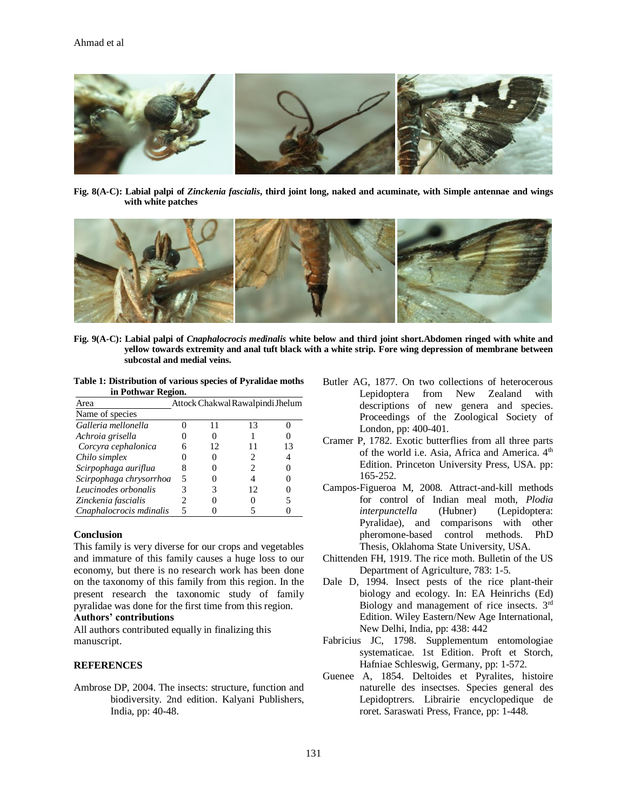

**Fig. 8(A-C): Labial palpi of** *Zinckenia fascialis***, third joint long, naked and acuminate, with Simple antennae and wings with white patches**



**Fig. 9(A-C): Labial palpi of** *Cnaphalocrocis medinalis* **white below and third joint short.Abdomen ringed with white and yellow towards extremity and anal tuft black with a white strip. Fore wing depression of membrane between subcostal and medial veins.**

**Table 1: Distribution of various species of Pyralidae moths in Pothwar Region.**

| Area                    | Attock Chakwal Rawalpindi Jhelum |    |    |    |
|-------------------------|----------------------------------|----|----|----|
| Name of species         |                                  |    |    |    |
| Galleria mellonella     |                                  | 11 | 13 |    |
| Achroia grisella        |                                  |    |    |    |
| Corcyra cephalonica     | h                                | 12 |    | 13 |
| Chilo simplex           |                                  |    | 2  |    |
| Scirpophaga auriflua    |                                  |    | 2  |    |
| Scirpophaga chrysorrhoa | 5                                |    |    |    |
| Leucinodes orbonalis    |                                  |    | 12 |    |
| Zinckenia fascialis     | 2                                |    |    |    |
| Cnaphalocrocis mdinalis | 5                                |    |    |    |

### **Conclusion**

This family is very diverse for our crops and vegetables and immature of this family causes a huge loss to our economy, but there is no research work has been done on the taxonomy of this family from this region. In the present research the taxonomic study of family pyralidae was done for the first time from this region.

# **Authors' contributions**

All authors contributed equally in finalizing this manuscript.

## **REFERENCES**

Ambrose DP, 2004. The insects: structure, function and biodiversity. 2nd edition. Kalyani Publishers, India, pp: 40-48.

- Butler AG, 1877. On two collections of heterocerous Lepidoptera from New Zealand with descriptions of new genera and species. Proceedings of the Zoological Society of London, pp: 400-401.
- Cramer P, 1782. Exotic butterflies from all three parts of the world i.e. Asia, Africa and America. 4<sup>th</sup> Edition. Princeton University Press, USA. pp: 165-252.
- Campos-Figueroa M, 2008. Attract-and-kill methods for control of Indian meal moth, *Plodia interpunctella* (Hubner) (Lepidoptera: Pyralidae), and comparisons with other pheromone-based control methods. PhD Thesis, Oklahoma State University, USA.
- Chittenden FH, 1919. The rice moth. Bulletin of the US Department of Agriculture, 783: 1-5.
- Dale D, 1994. Insect pests of the rice plant-their biology and ecology. In: EA Heinrichs (Ed) Biology and management of rice insects. 3rd Edition. Wiley Eastern/New Age International, New Delhi, India, pp: 438: 442
- Fabricius JC, 1798. Supplementum entomologiae systematicae. 1st Edition. Proft et Storch, Hafniae Schleswig, Germany, pp: 1-572.
- Guenee A, 1854. Deltoides et Pyralites, histoire naturelle des insectses. Species general des Lepidoptrers. Librairie encyclopedique de roret. Saraswati Press, France, pp: 1-448.